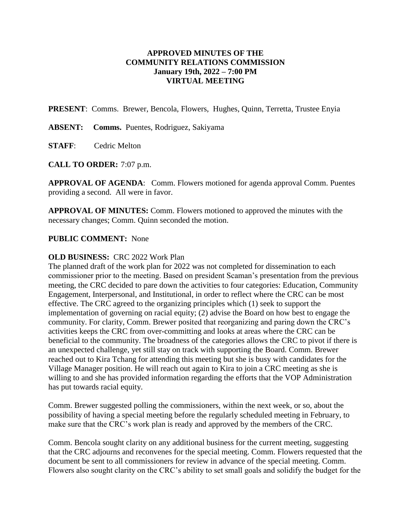## **APPROVED MINUTES OF THE COMMUNITY RELATIONS COMMISSION January 19th, 2022 – 7:00 PM VIRTUAL MEETING**

**PRESENT**: Comms. Brewer, Bencola, Flowers, Hughes, Quinn, Terretta, Trustee Enyia

**ABSENT: Comms.** Puentes, Rodriguez, Sakiyama

**STAFF**: Cedric Melton

**CALL TO ORDER:** 7:07 p.m.

**APPROVAL OF AGENDA**: Comm. Flowers motioned for agenda approval Comm. Puentes providing a second. All were in favor.

**APPROVAL OF MINUTES:** Comm. Flowers motioned to approved the minutes with the necessary changes; Comm. Quinn seconded the motion.

## **PUBLIC COMMENT:** None

## **OLD BUSINESS:** CRC 2022 Work Plan

The planned draft of the work plan for 2022 was not completed for dissemination to each commissioner prior to the meeting. Based on president Scaman's presentation from the previous meeting, the CRC decided to pare down the activities to four categories: Education, Community Engagement, Interpersonal, and Institutional, in order to reflect where the CRC can be most effective. The CRC agreed to the organizing principles which (1) seek to support the implementation of governing on racial equity; (2) advise the Board on how best to engage the community. For clarity, Comm. Brewer posited that reorganizing and paring down the CRC's activities keeps the CRC from over-committing and looks at areas where the CRC can be beneficial to the community. The broadness of the categories allows the CRC to pivot if there is an unexpected challenge, yet still stay on track with supporting the Board. Comm. Brewer reached out to Kira Tchang for attending this meeting but she is busy with candidates for the Village Manager position. He will reach out again to Kira to join a CRC meeting as she is willing to and she has provided information regarding the efforts that the VOP Administration has put towards racial equity.

Comm. Brewer suggested polling the commissioners, within the next week, or so, about the possibility of having a special meeting before the regularly scheduled meeting in February, to make sure that the CRC's work plan is ready and approved by the members of the CRC.

Comm. Bencola sought clarity on any additional business for the current meeting, suggesting that the CRC adjourns and reconvenes for the special meeting. Comm. Flowers requested that the document be sent to all commissioners for review in advance of the special meeting. Comm. Flowers also sought clarity on the CRC's ability to set small goals and solidify the budget for the